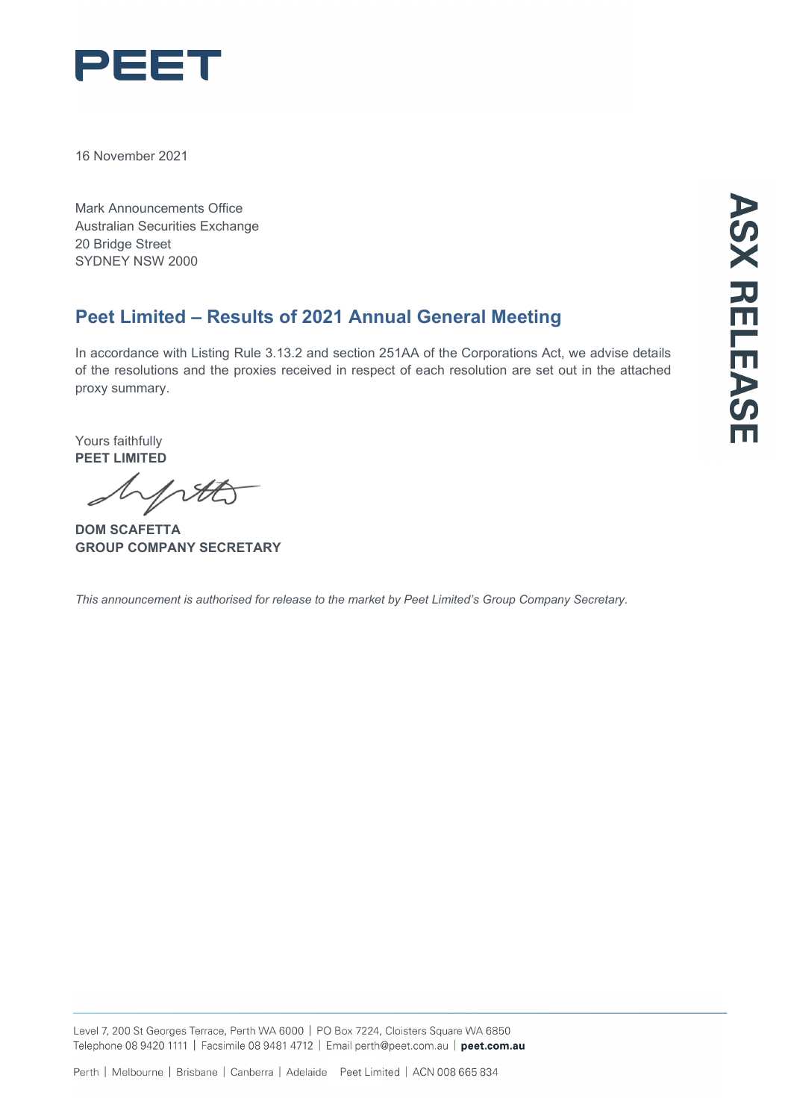

16 November 2021

Mark Announcements Office Australian Securities Exchange 20 Bridge Street SYDNEY NSW 2000

## **Peet Limited – Results of 2021 Annual General Meeting**

In accordance with Listing Rule 3.13.2 and section 251AA of the Corporations Act, we advise details of the resolutions and the proxies received in respect of each resolution are set out in the attached proxy summary.

Yours faithfully **PEET LIMITED**

NA

**DOM SCAFETTA GROUP COMPANY SECRETARY**

*This announcement is authorised for release to the market by Peet Limited's Group Company Secretary.*

Level 7, 200 St Georges Terrace, Perth WA 6000 | PO Box 7224, Cloisters Square WA 6850 Telephone 08 9420 1111 | Facsimile 08 9481 4712 | Email perth@peet.com.au | peet.com.au